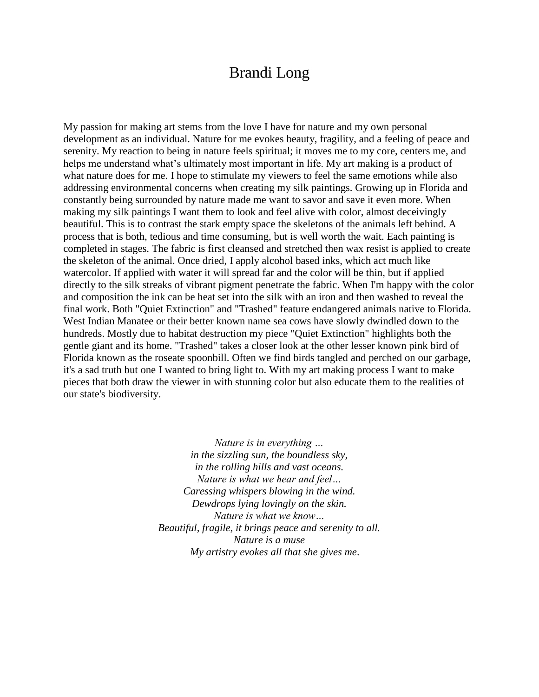## Brandi Long

My passion for making art stems from the love I have for nature and my own personal development as an individual. Nature for me evokes beauty, fragility, and a feeling of peace and serenity. My reaction to being in nature feels spiritual; it moves me to my core, centers me, and helps me understand what's ultimately most important in life. My art making is a product of what nature does for me. I hope to stimulate my viewers to feel the same emotions while also addressing environmental concerns when creating my silk paintings. Growing up in Florida and constantly being surrounded by nature made me want to savor and save it even more. When making my silk paintings I want them to look and feel alive with color, almost deceivingly beautiful. This is to contrast the stark empty space the skeletons of the animals left behind. A process that is both, tedious and time consuming, but is well worth the wait. Each painting is completed in stages. The fabric is first cleansed and stretched then wax resist is applied to create the skeleton of the animal. Once dried, I apply alcohol based inks, which act much like watercolor. If applied with water it will spread far and the color will be thin, but if applied directly to the silk streaks of vibrant pigment penetrate the fabric. When I'm happy with the color and composition the ink can be heat set into the silk with an iron and then washed to reveal the final work. Both "Quiet Extinction" and "Trashed" feature endangered animals native to Florida. West Indian Manatee or their better known name sea cows have slowly dwindled down to the hundreds. Mostly due to habitat destruction my piece "Quiet Extinction" highlights both the gentle giant and its home. "Trashed" takes a closer look at the other lesser known pink bird of Florida known as the roseate spoonbill. Often we find birds tangled and perched on our garbage, it's a sad truth but one I wanted to bring light to. With my art making process I want to make pieces that both draw the viewer in with stunning color but also educate them to the realities of our state's biodiversity.

> *Nature is in everything … in the sizzling sun, the boundless sky, in the rolling hills and vast oceans. Nature is what we hear and feel… Caressing whispers blowing in the wind. Dewdrops lying lovingly on the skin. Nature is what we know… Beautiful, fragile, it brings peace and serenity to all. Nature is a muse My artistry evokes all that she gives me*.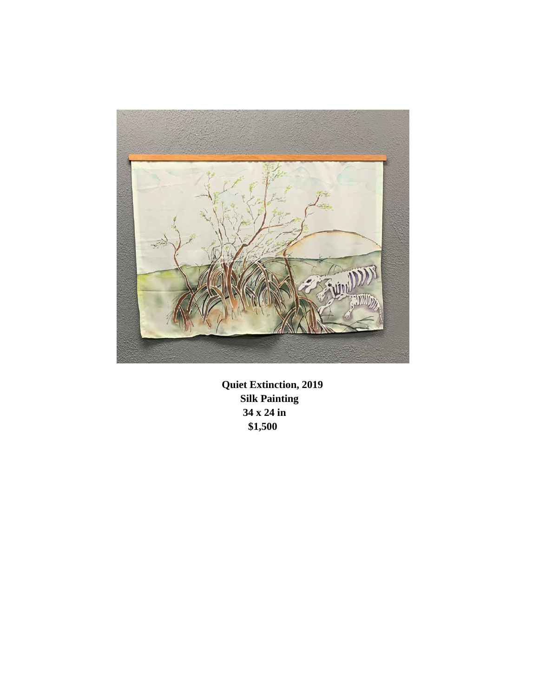

**Quiet Extinction, 2019 Silk Painting 34 x 24 in \$1,500**